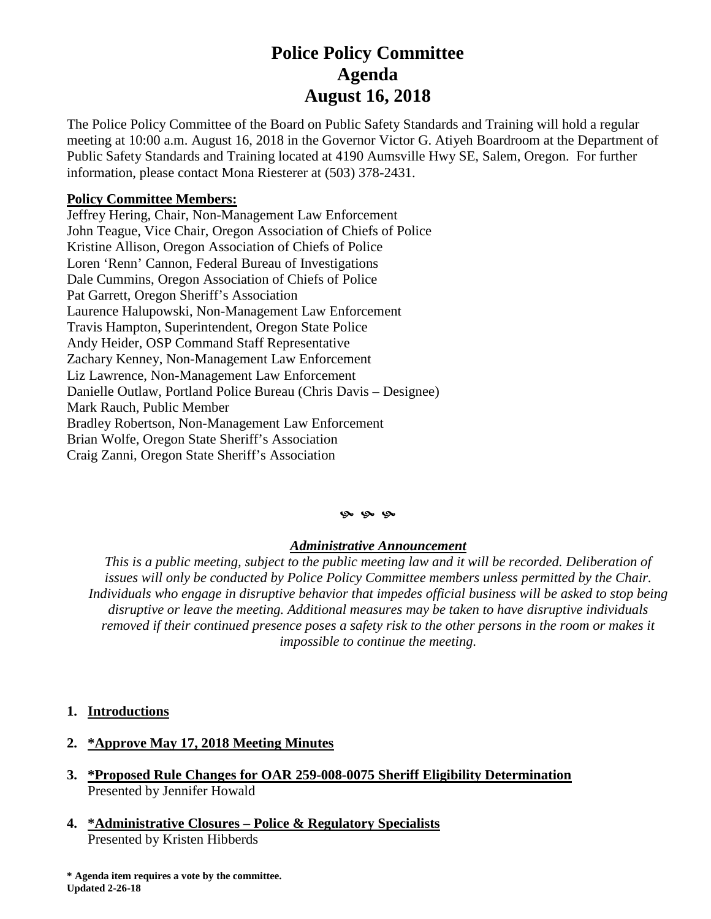# **Police Policy Committee Agenda August 16, 2018**

The Police Policy Committee of the Board on Public Safety Standards and Training will hold a regular meeting at 10:00 a.m. August 16, 2018 in the Governor Victor G. Atiyeh Boardroom at the Department of Public Safety Standards and Training located at 4190 Aumsville Hwy SE, Salem, Oregon. For further information, please contact Mona Riesterer at (503) 378-2431.

## **Policy Committee Members:**

Jeffrey Hering, Chair, Non-Management Law Enforcement John Teague, Vice Chair, Oregon Association of Chiefs of Police Kristine Allison, Oregon Association of Chiefs of Police Loren 'Renn' Cannon, Federal Bureau of Investigations Dale Cummins, Oregon Association of Chiefs of Police Pat Garrett, Oregon Sheriff's Association Laurence Halupowski, Non-Management Law Enforcement Travis Hampton, Superintendent, Oregon State Police Andy Heider, OSP Command Staff Representative Zachary Kenney, Non-Management Law Enforcement Liz Lawrence, Non-Management Law Enforcement Danielle Outlaw, Portland Police Bureau (Chris Davis – Designee) Mark Rauch, Public Member Bradley Robertson, Non-Management Law Enforcement Brian Wolfe, Oregon State Sheriff's Association Craig Zanni, Oregon State Sheriff's Association

#### **9** 9 9

### *Administrative Announcement*

*This is a public meeting, subject to the public meeting law and it will be recorded. Deliberation of issues will only be conducted by Police Policy Committee members unless permitted by the Chair. Individuals who engage in disruptive behavior that impedes official business will be asked to stop being disruptive or leave the meeting. Additional measures may be taken to have disruptive individuals removed if their continued presence poses a safety risk to the other persons in the room or makes it impossible to continue the meeting.*

### **1. Introductions**

### **2. \*Approve May 17, 2018 Meeting Minutes**

- **3. \*Proposed Rule Changes for OAR 259-008-0075 Sheriff Eligibility Determination** Presented by Jennifer Howald
- **4. \*Administrative Closures – Police & Regulatory Specialists** Presented by Kristen Hibberds

**\* Agenda item requires a vote by the committee. Updated 2-26-18**